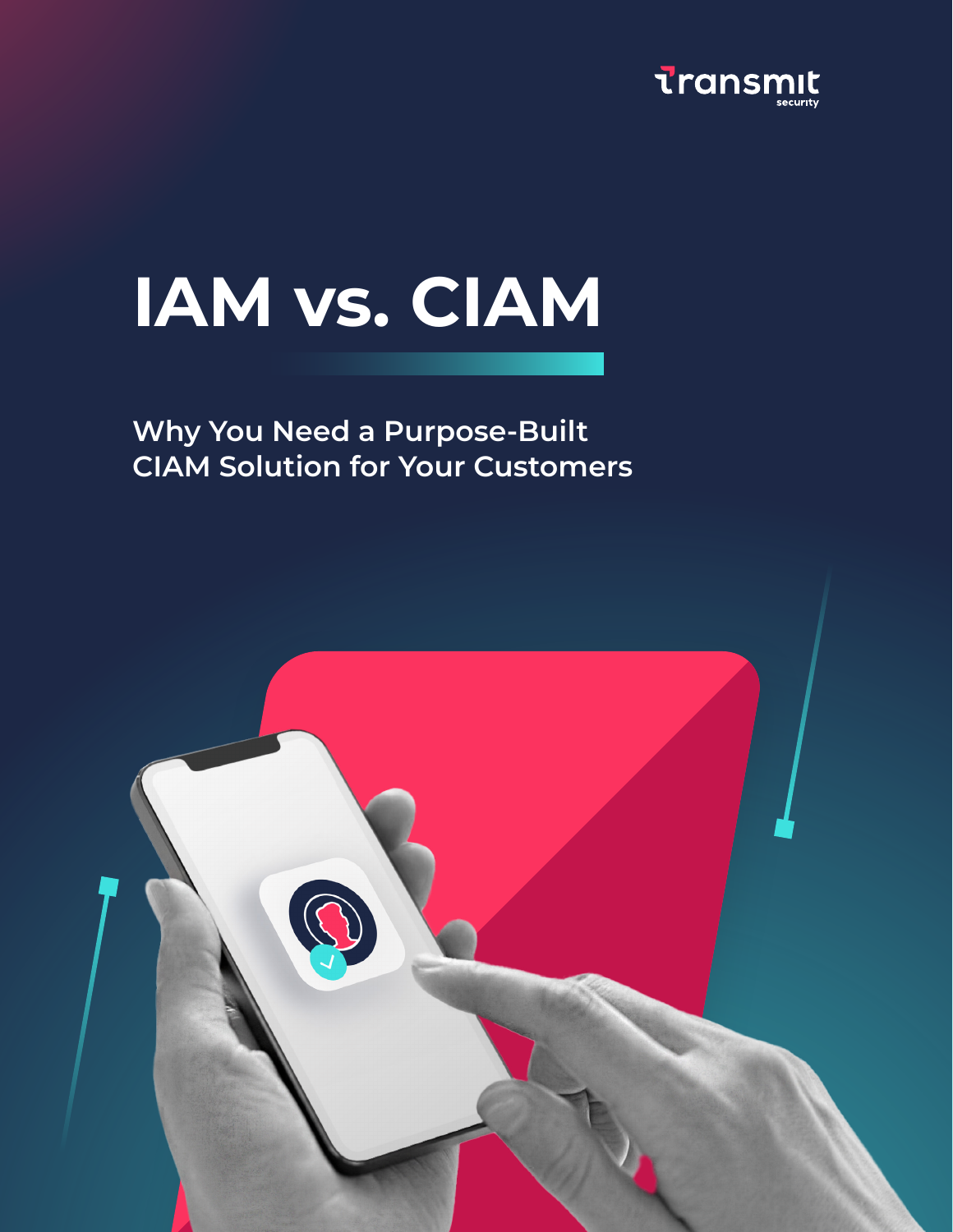

# **IAM vs. CIAM**

#### **Why You Need a Purpose-Built CIAM Solution for Your Customers**

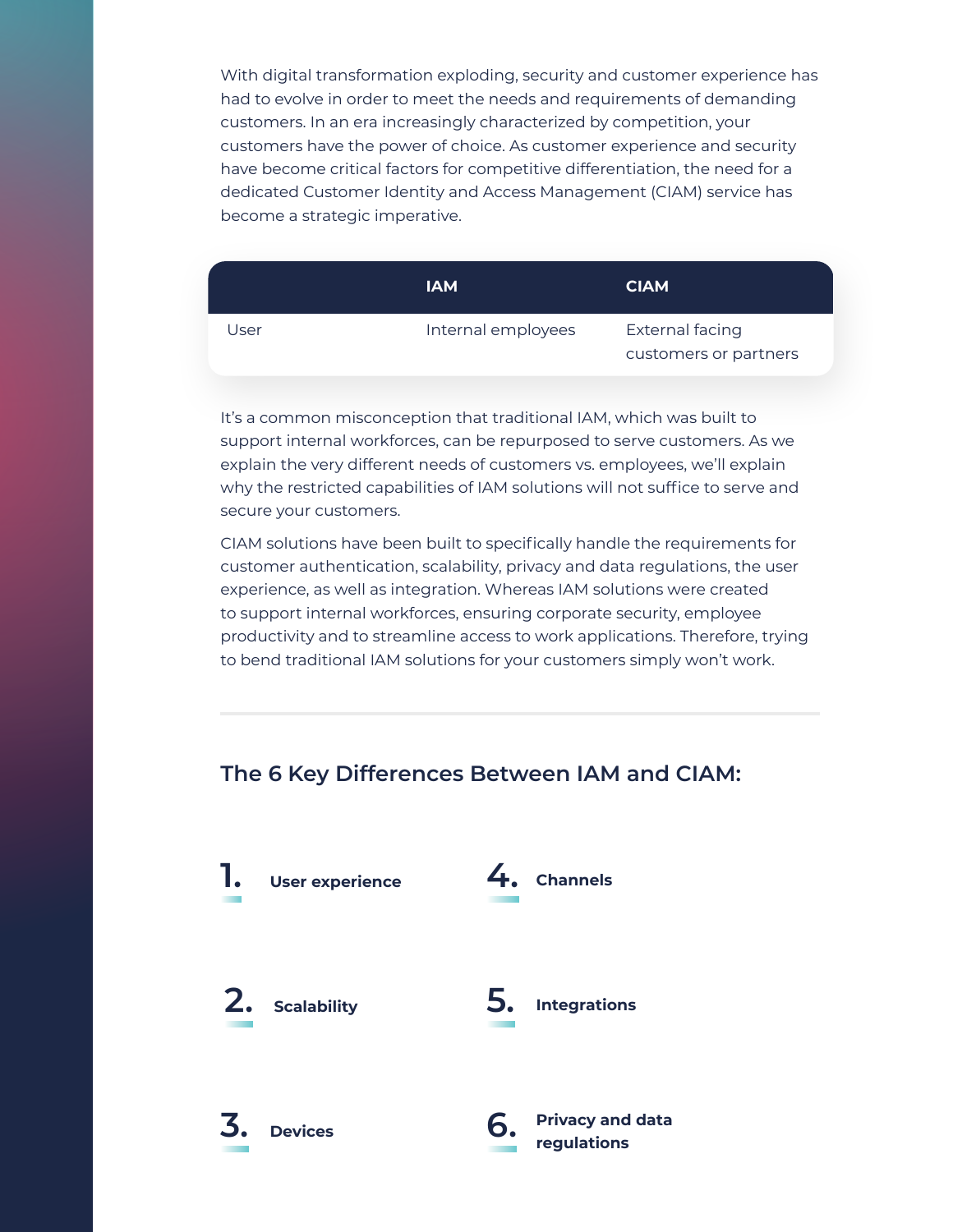With digital transformation exploding, security and customer experience has had to evolve in order to meet the needs and requirements of demanding customers. In an era increasingly characterized by competition, your customers have the power of choice. As customer experience and security have become critical factors for competitive differentiation, the need for a dedicated Customer Identity and Access Management (CIAM) service has become a strategic imperative.

|      | <b>IAM</b>         | <b>CIAM</b>                              |
|------|--------------------|------------------------------------------|
| Jser | Internal employees | External facing<br>customers or partners |

It's a common misconception that traditional IAM, which was built to support internal workforces, can be repurposed to serve customers. As we explain the very different needs of customers vs. employees, we'll explain why the restricted capabilities of IAM solutions will not suffice to serve and secure your customers.

CIAM solutions have been built to specifically handle the requirements for customer authentication, scalability, privacy and data regulations, the user experience, as well as integration. Whereas IAM solutions were created to support internal workforces, ensuring corporate security, employee productivity and to streamline access to work applications. Therefore, trying to bend traditional IAM solutions for your customers simply won't work.

#### **The 6 Key Differences Between IAM and CIAM:**

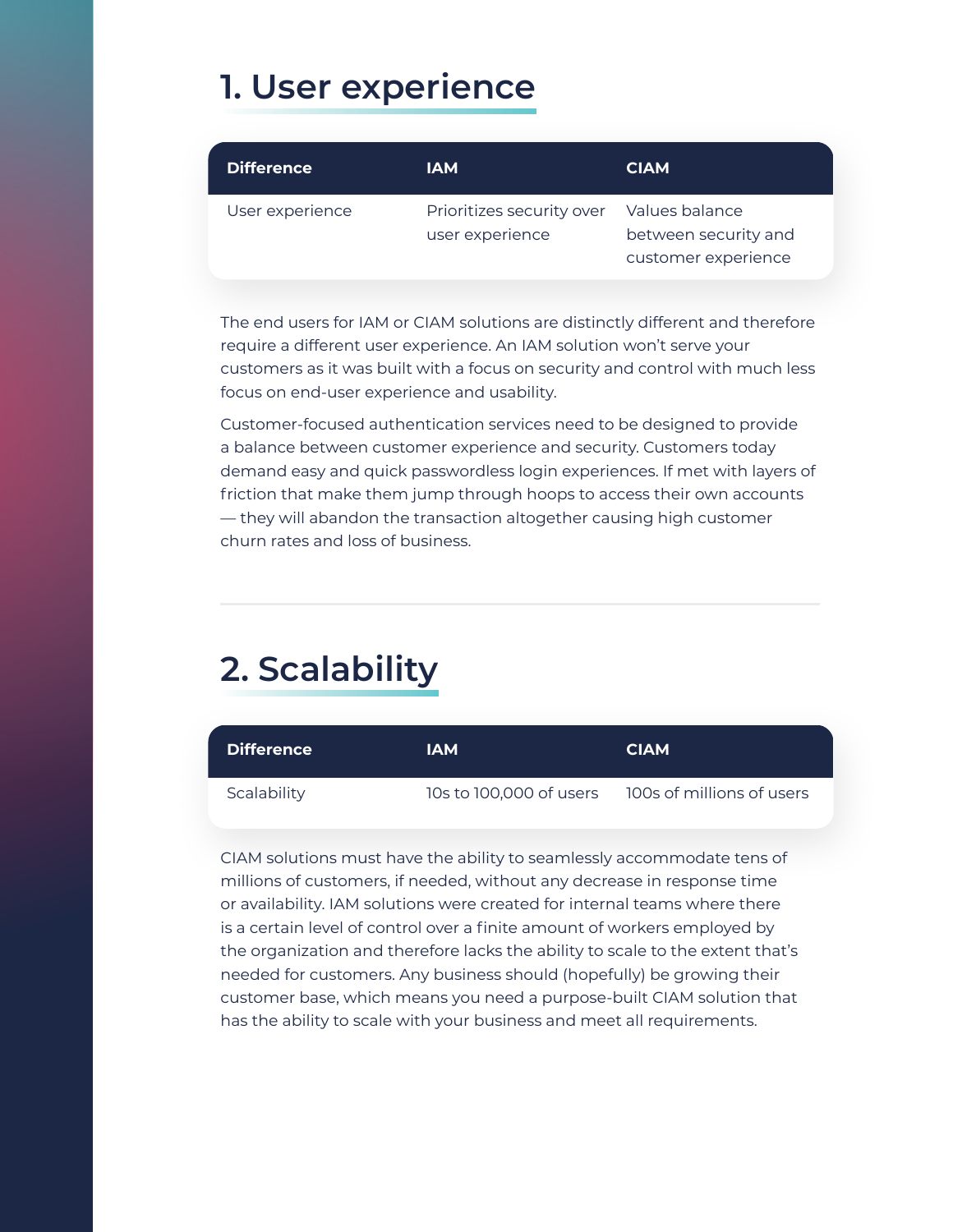## **1. User experience**

| <b>Difference</b> | <b>IAM</b>                                   | <b>CIAM</b>                                                   |
|-------------------|----------------------------------------------|---------------------------------------------------------------|
| User experience   | Prioritizes security over<br>user experience | Values balance<br>between security and<br>customer experience |

The end users for IAM or CIAM solutions are distinctly different and therefore require a different user experience. An IAM solution won't serve your customers as it was built with a focus on security and control with much less focus on end-user experience and usability.

Customer-focused authentication services need to be designed to providea balance between customer experience and security. Customers today demand easy and quick passwordless login experiences. If met with layers of friction that make them jump through hoops to access their own accounts  $-$  they will abandon the transaction altogether causing high customer churn rates and loss of business.

# **2. Scalability**

| <b>Difference</b> | <b>IAM</b>              | <b>CIAM</b>               |
|-------------------|-------------------------|---------------------------|
| Scalability       | 10s to 100,000 of users | 100s of millions of users |

CIAM solutions must have the ability to seamlessly accommodate tens of millions of customers, if needed, without any decrease in response time or availability. IAM solutions were created for internal teams where there is a certain level of control over a finite amount of workers employed by the organization and therefore lacks the ability to scale to the extent that's needed for customers. Any business should (hopefully) be growing their customer base, which means you need a purpose-built CIAM solution that has the ability to scale with your business and meet all requirements.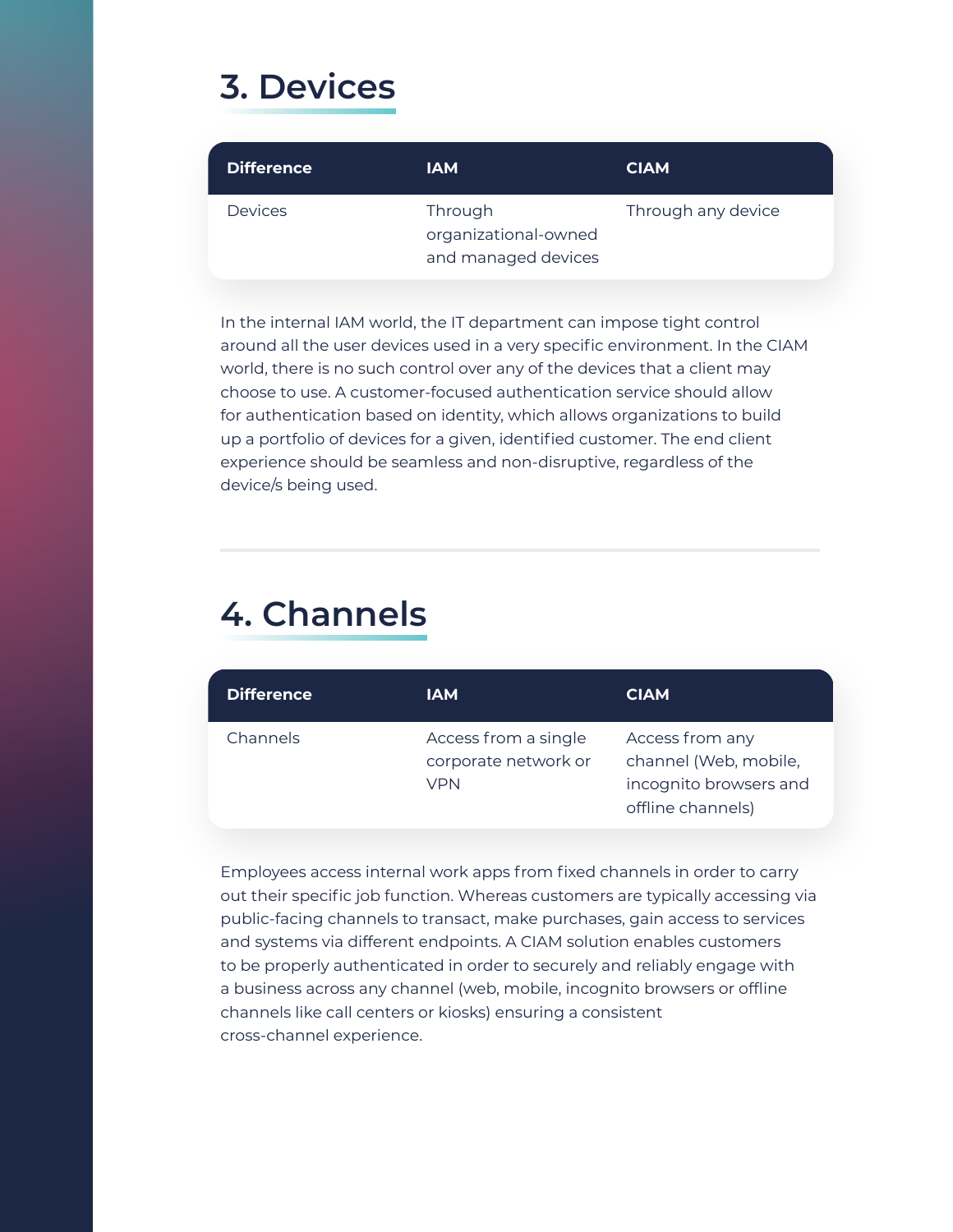#### **Devices 3.**

| <b>Difference</b> | <b>IAM</b>                                             | <b>CIAM</b>        |
|-------------------|--------------------------------------------------------|--------------------|
| <b>Devices</b>    | Through<br>organizational-owned<br>and managed devices | Through any device |

In the internal IAM world, the IT department can impose tight control around all the user devices used in a very specific environment. In the CIAM world, there is no such control over any of the devices that a client may choose to use. A customer-focused authentication service should allow for authentication based on identity, which allows organizations to build up a portfolio of devices for a given, identified customer. The end client experience should be seamless and non-disruptive, regardless of the device/s being used.

### **Channels 4.**

| <b>Difference</b> | <b>IAM</b>                                   | <b>CIAM</b>                                 |
|-------------------|----------------------------------------------|---------------------------------------------|
| Channels          | Access from a single<br>corporate network or | Access from any<br>channel (Web, mobile,    |
|                   | VPN                                          | incognito browsers and<br>offline channels) |

Employees access internal work apps from fixed channels in order to carry out their specific job function. Whereas customers are typically accessing via public-facing channels to transact, make purchases, gain access to services and systems via different endpoints. A CIAM solution enables customers to be properly authenticated in order to securely and reliably engage with a business across any channel (web, mobile, incognito browsers or offline channels like call centers or kiosks) ensuring a consistent cross-channel experience.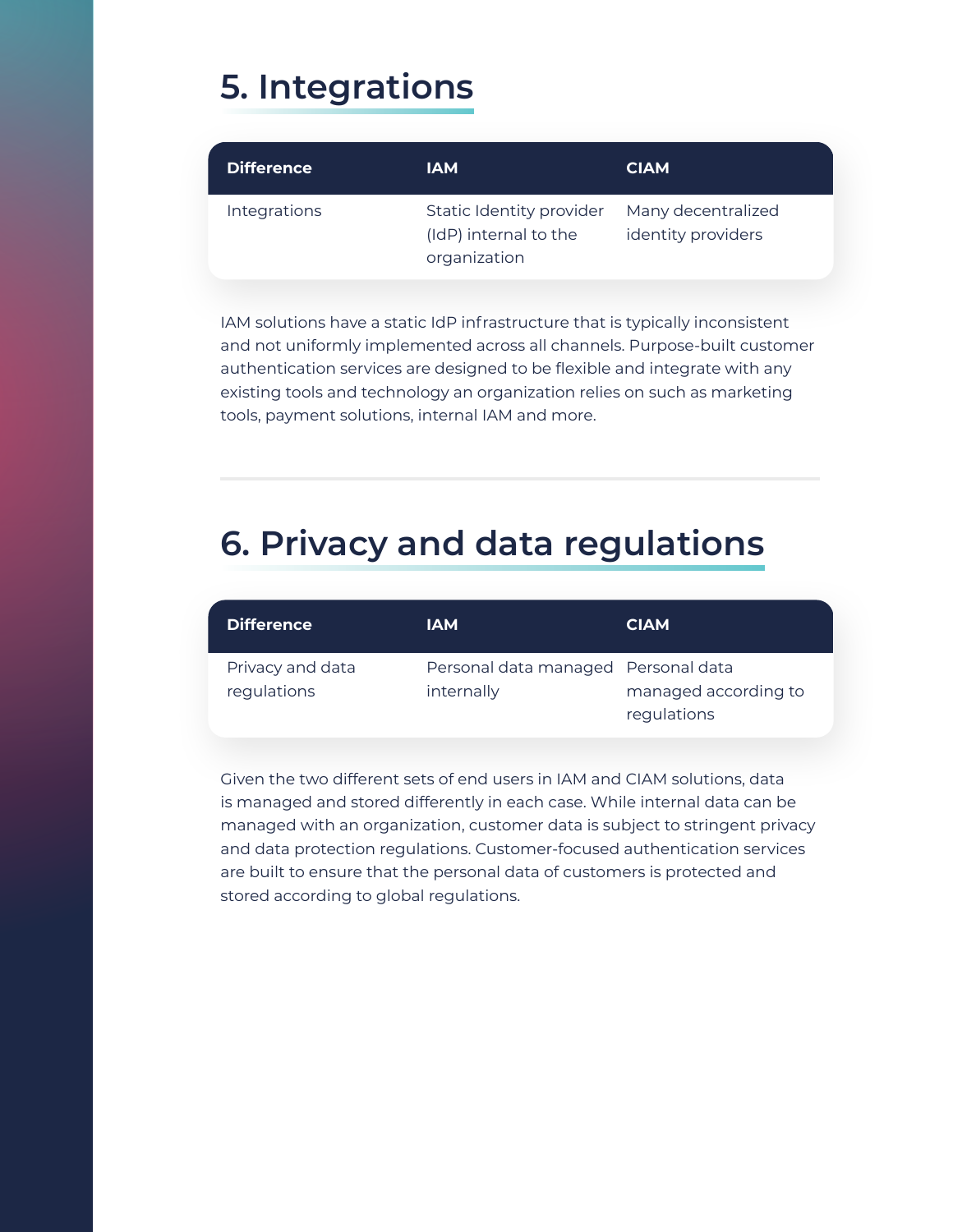# **5. Integrations**

| <b>Difference</b> | <b>IAM</b>                                                        | <b>CIAM</b>                              |
|-------------------|-------------------------------------------------------------------|------------------------------------------|
| Integrations      | Static Identity provider<br>(IdP) internal to the<br>organization | Many decentralized<br>identity providers |

IAM solutions have a static IdP infrastructure that is typically inconsistent and not uniformly implemented across all channels. Purpose-built customer authentication services are designed to be flexible and integrate with any existing tools and technology an organization relies on such as marketing tools, payment solutions, internal IAM and more.

#### **6. Privacy and data regulations**

| <b>Difference</b> | <b>IAM</b>                          | <b>CIAM</b>          |
|-------------------|-------------------------------------|----------------------|
| Privacy and data  | Personal data managed Personal data |                      |
| regulations       | internally                          | managed according to |
|                   |                                     | regulations          |

Given the two different sets of end users in IAM and CIAM solutions, data is managed and stored differently in each case. While internal data can be managed with an organization, customer data is subject to stringent privacy and data protection requlations. Customer-focused authentication services are built to ensure that the personal data of customers is protected and stored according to global regulations.